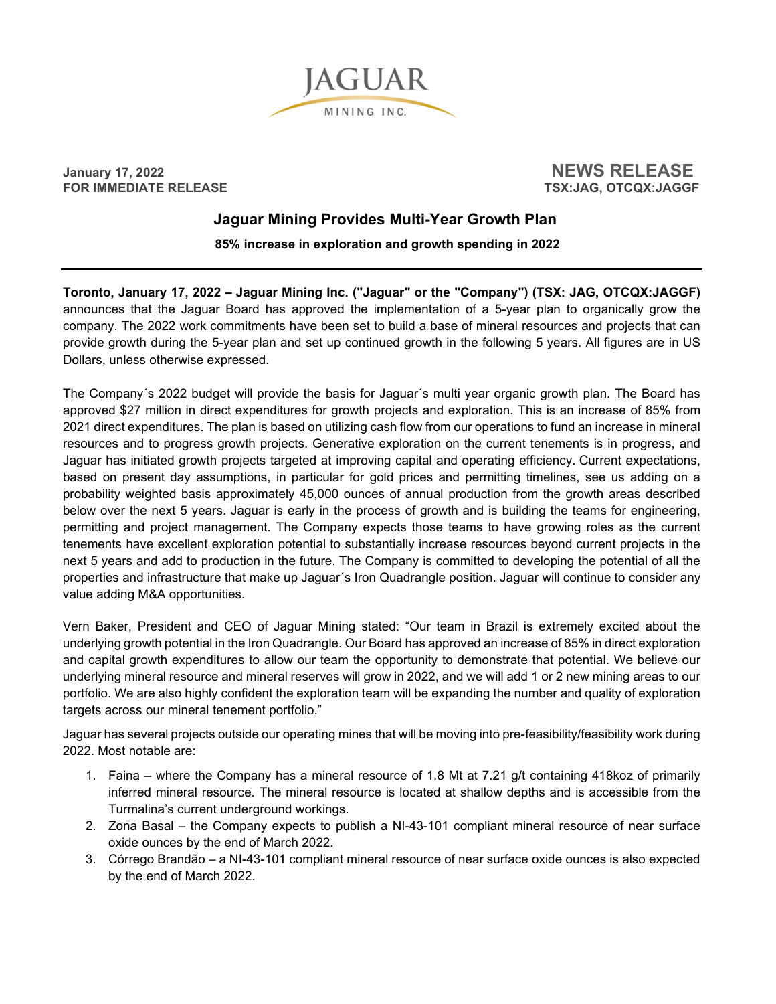

 $\begin{array}{c} \text{January 17, 2022} \\ \text{FOR IMMEDIATE RELEASE \\ \end{array} \end{array} \qquad \begin{array}{c} \text{NEWS RELEASE} \\ \text{TSX:JAG. OTCQX:JAGGF} \end{array}$ 

**FSX:JAG, OTCQX:JAGGF** 

# **Jaguar Mining Provides Multi-Year Growth Plan**

 **85% increase in exploration and growth spending in 2022**

**Toronto, January 17, 2022 – Jaguar Mining Inc. ("Jaguar" or the "Company") (TSX: JAG, OTCQX:JAGGF)**  announces that the Jaguar Board has approved the implementation of a 5-year plan to organically grow the company. The 2022 work commitments have been set to build a base of mineral resources and projects that can provide growth during the 5-year plan and set up continued growth in the following 5 years. All figures are in US Dollars, unless otherwise expressed.

The Company´s 2022 budget will provide the basis for Jaguar´s multi year organic growth plan. The Board has approved \$27 million in direct expenditures for growth projects and exploration. This is an increase of 85% from 2021 direct expenditures. The plan is based on utilizing cash flow from our operations to fund an increase in mineral resources and to progress growth projects. Generative exploration on the current tenements is in progress, and Jaguar has initiated growth projects targeted at improving capital and operating efficiency. Current expectations, based on present day assumptions, in particular for gold prices and permitting timelines, see us adding on a probability weighted basis approximately 45,000 ounces of annual production from the growth areas described below over the next 5 years. Jaguar is early in the process of growth and is building the teams for engineering, permitting and project management. The Company expects those teams to have growing roles as the current tenements have excellent exploration potential to substantially increase resources beyond current projects in the next 5 years and add to production in the future. The Company is committed to developing the potential of all the properties and infrastructure that make up Jaguar´s Iron Quadrangle position. Jaguar will continue to consider any value adding M&A opportunities.

Vern Baker, President and CEO of Jaguar Mining stated: "Our team in Brazil is extremely excited about the underlying growth potential in the Iron Quadrangle. Our Board has approved an increase of 85% in direct exploration and capital growth expenditures to allow our team the opportunity to demonstrate that potential. We believe our underlying mineral resource and mineral reserves will grow in 2022, and we will add 1 or 2 new mining areas to our portfolio. We are also highly confident the exploration team will be expanding the number and quality of exploration targets across our mineral tenement portfolio."

Jaguar has several projects outside our operating mines that will be moving into pre-feasibility/feasibility work during 2022. Most notable are:

- 1. Faina where the Company has a mineral resource of 1.8 Mt at 7.21 g/t containing 418koz of primarily inferred mineral resource. The mineral resource is located at shallow depths and is accessible from the Turmalina's current underground workings.
- 2. Zona Basal the Company expects to publish a NI-43-101 compliant mineral resource of near surface oxide ounces by the end of March 2022.
- 3. Córrego Brandão a NI-43-101 compliant mineral resource of near surface oxide ounces is also expected by the end of March 2022.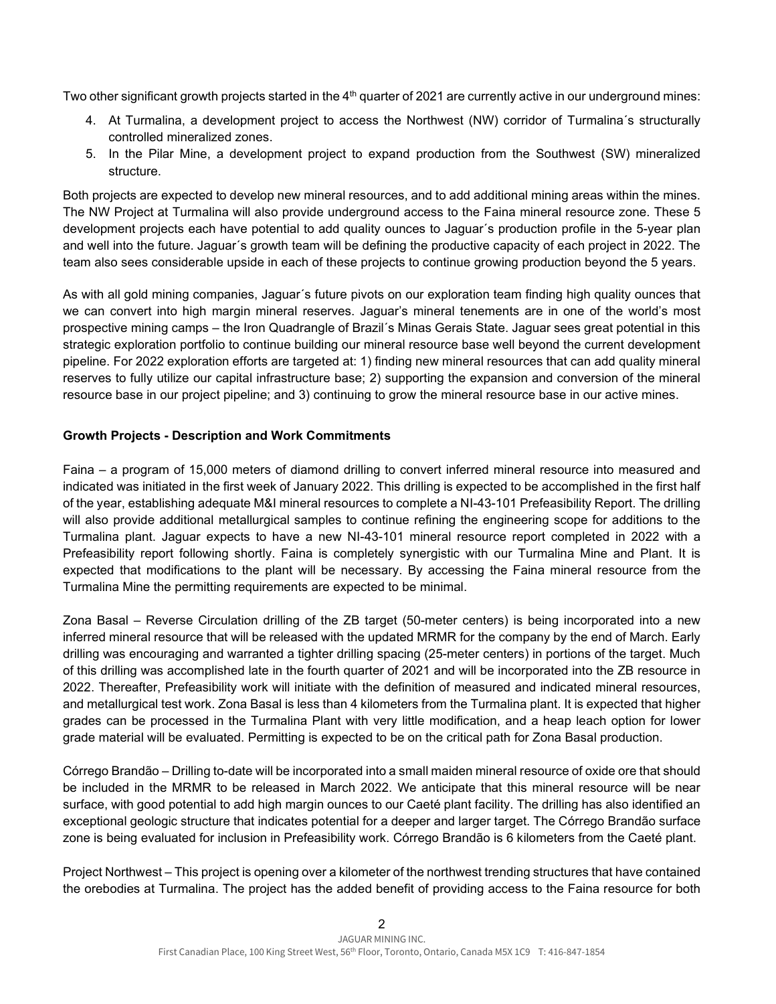Two other significant growth projects started in the 4<sup>th</sup> quarter of 2021 are currently active in our underground mines:

- 4. At Turmalina, a development project to access the Northwest (NW) corridor of Turmalina´s structurally controlled mineralized zones.
- 5. In the Pilar Mine, a development project to expand production from the Southwest (SW) mineralized structure.

Both projects are expected to develop new mineral resources, and to add additional mining areas within the mines. The NW Project at Turmalina will also provide underground access to the Faina mineral resource zone. These 5 development projects each have potential to add quality ounces to Jaguar´s production profile in the 5-year plan and well into the future. Jaguar´s growth team will be defining the productive capacity of each project in 2022. The team also sees considerable upside in each of these projects to continue growing production beyond the 5 years.

As with all gold mining companies, Jaguar´s future pivots on our exploration team finding high quality ounces that we can convert into high margin mineral reserves. Jaguar's mineral tenements are in one of the world's most prospective mining camps – the Iron Quadrangle of Brazil´s Minas Gerais State. Jaguar sees great potential in this strategic exploration portfolio to continue building our mineral resource base well beyond the current development pipeline. For 2022 exploration efforts are targeted at: 1) finding new mineral resources that can add quality mineral reserves to fully utilize our capital infrastructure base; 2) supporting the expansion and conversion of the mineral resource base in our project pipeline; and 3) continuing to grow the mineral resource base in our active mines.

### **Growth Projects - Description and Work Commitments**

Faina – a program of 15,000 meters of diamond drilling to convert inferred mineral resource into measured and indicated was initiated in the first week of January 2022. This drilling is expected to be accomplished in the first half of the year, establishing adequate M&I mineral resources to complete a NI-43-101 Prefeasibility Report. The drilling will also provide additional metallurgical samples to continue refining the engineering scope for additions to the Turmalina plant. Jaguar expects to have a new NI-43-101 mineral resource report completed in 2022 with a Prefeasibility report following shortly. Faina is completely synergistic with our Turmalina Mine and Plant. It is expected that modifications to the plant will be necessary. By accessing the Faina mineral resource from the Turmalina Mine the permitting requirements are expected to be minimal.

Zona Basal – Reverse Circulation drilling of the ZB target (50-meter centers) is being incorporated into a new inferred mineral resource that will be released with the updated MRMR for the company by the end of March. Early drilling was encouraging and warranted a tighter drilling spacing (25-meter centers) in portions of the target. Much of this drilling was accomplished late in the fourth quarter of 2021 and will be incorporated into the ZB resource in 2022. Thereafter, Prefeasibility work will initiate with the definition of measured and indicated mineral resources, and metallurgical test work. Zona Basal is less than 4 kilometers from the Turmalina plant. It is expected that higher grades can be processed in the Turmalina Plant with very little modification, and a heap leach option for lower grade material will be evaluated. Permitting is expected to be on the critical path for Zona Basal production.

Córrego Brandão – Drilling to-date will be incorporated into a small maiden mineral resource of oxide ore that should be included in the MRMR to be released in March 2022. We anticipate that this mineral resource will be near surface, with good potential to add high margin ounces to our Caeté plant facility. The drilling has also identified an exceptional geologic structure that indicates potential for a deeper and larger target. The Córrego Brandão surface zone is being evaluated for inclusion in Prefeasibility work. Córrego Brandão is 6 kilometers from the Caeté plant.

Project Northwest – This project is opening over a kilometer of the northwest trending structures that have contained the orebodies at Turmalina. The project has the added benefit of providing access to the Faina resource for both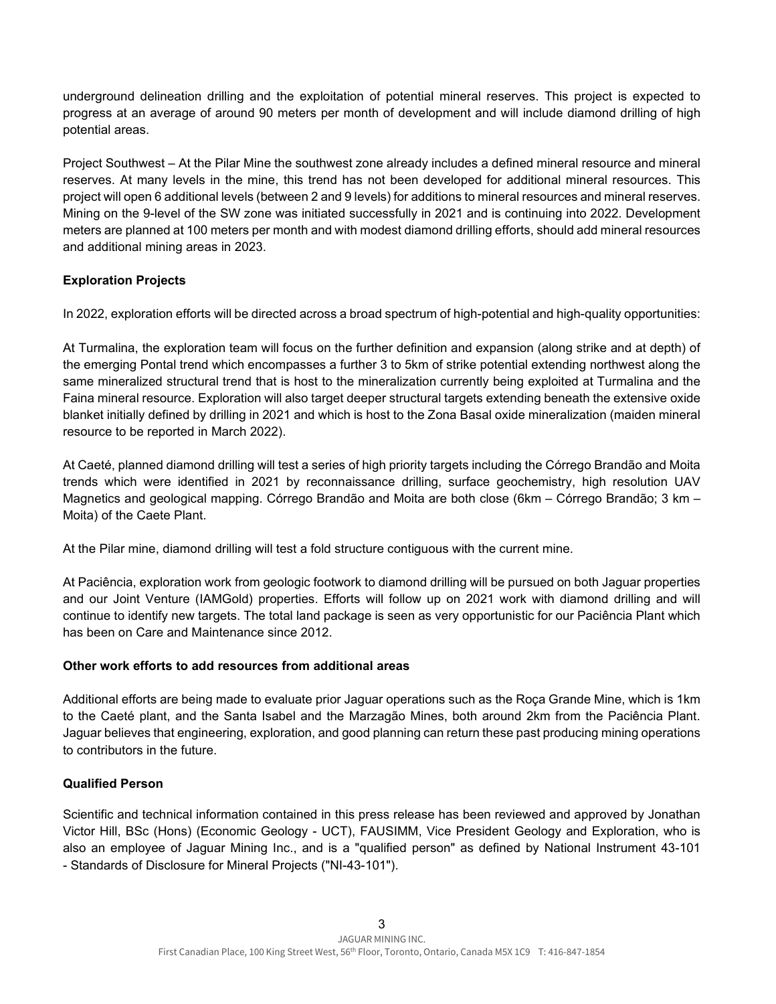underground delineation drilling and the exploitation of potential mineral reserves. This project is expected to progress at an average of around 90 meters per month of development and will include diamond drilling of high potential areas.

Project Southwest – At the Pilar Mine the southwest zone already includes a defined mineral resource and mineral reserves. At many levels in the mine, this trend has not been developed for additional mineral resources. This project will open 6 additional levels (between 2 and 9 levels) for additions to mineral resources and mineral reserves. Mining on the 9-level of the SW zone was initiated successfully in 2021 and is continuing into 2022. Development meters are planned at 100 meters per month and with modest diamond drilling efforts, should add mineral resources and additional mining areas in 2023.

## **Exploration Projects**

In 2022, exploration efforts will be directed across a broad spectrum of high-potential and high-quality opportunities:

At Turmalina, the exploration team will focus on the further definition and expansion (along strike and at depth) of the emerging Pontal trend which encompasses a further 3 to 5km of strike potential extending northwest along the same mineralized structural trend that is host to the mineralization currently being exploited at Turmalina and the Faina mineral resource. Exploration will also target deeper structural targets extending beneath the extensive oxide blanket initially defined by drilling in 2021 and which is host to the Zona Basal oxide mineralization (maiden mineral resource to be reported in March 2022).

At Caeté, planned diamond drilling will test a series of high priority targets including the Córrego Brandão and Moita trends which were identified in 2021 by reconnaissance drilling, surface geochemistry, high resolution UAV Magnetics and geological mapping. Córrego Brandão and Moita are both close (6km – Córrego Brandão; 3 km – Moita) of the Caete Plant.

At the Pilar mine, diamond drilling will test a fold structure contiguous with the current mine.

At Paciência, exploration work from geologic footwork to diamond drilling will be pursued on both Jaguar properties and our Joint Venture (IAMGold) properties. Efforts will follow up on 2021 work with diamond drilling and will continue to identify new targets. The total land package is seen as very opportunistic for our Paciência Plant which has been on Care and Maintenance since 2012.

### **Other work efforts to add resources from additional areas**

Additional efforts are being made to evaluate prior Jaguar operations such as the Roça Grande Mine, which is 1km to the Caeté plant, and the Santa Isabel and the Marzagão Mines, both around 2km from the Paciência Plant. Jaguar believes that engineering, exploration, and good planning can return these past producing mining operations to contributors in the future.

### **Qualified Person**

Scientific and technical information contained in this press release has been reviewed and approved by Jonathan Victor Hill, BSc (Hons) (Economic Geology - UCT), FAUSIMM, Vice President Geology and Exploration, who is also an employee of Jaguar Mining Inc., and is a "qualified person" as defined by National Instrument 43-101 - Standards of Disclosure for Mineral Projects ("NI-43-101").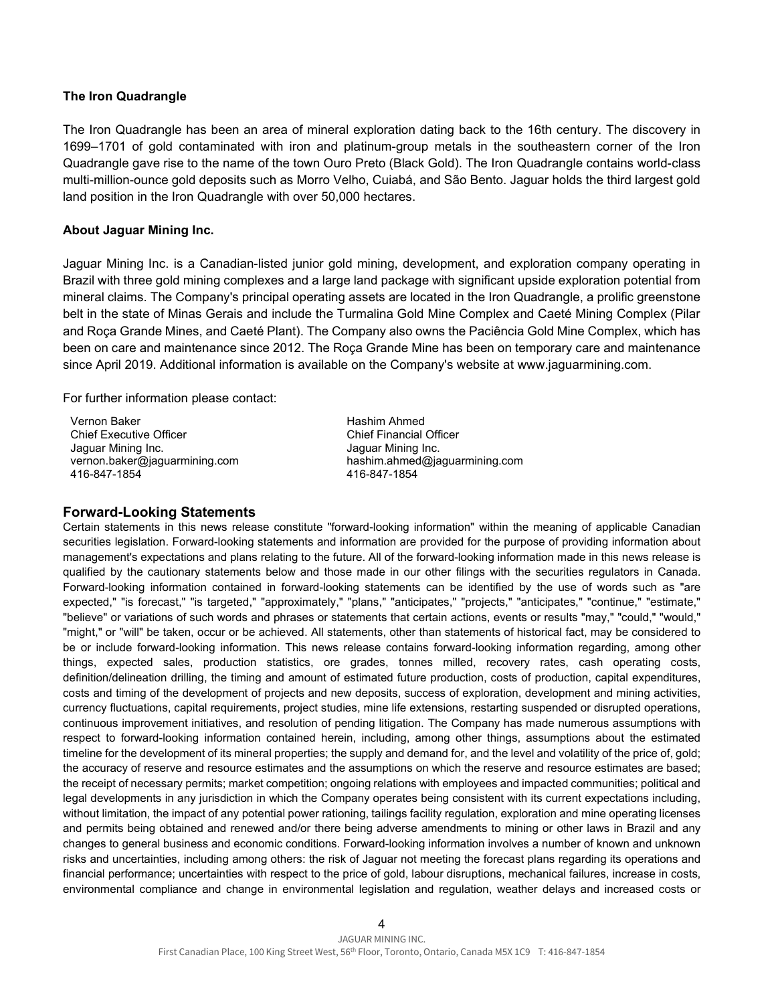#### **The Iron Quadrangle**

The Iron Quadrangle has been an area of mineral exploration dating back to the 16th century. The discovery in 1699–1701 of gold contaminated with iron and platinum-group metals in the southeastern corner of the Iron Quadrangle gave rise to the name of the town Ouro Preto (Black Gold). The Iron Quadrangle contains world-class multi-million-ounce gold deposits such as Morro Velho, Cuiabá, and São Bento. Jaguar holds the third largest gold land position in the Iron Quadrangle with over 50,000 hectares.

#### **About Jaguar Mining Inc.**

Jaguar Mining Inc. is a Canadian-listed junior gold mining, development, and exploration company operating in Brazil with three gold mining complexes and a large land package with significant upside exploration potential from mineral claims. The Company's principal operating assets are located in the Iron Quadrangle, a prolific greenstone belt in the state of Minas Gerais and include the Turmalina Gold Mine Complex and Caeté Mining Complex (Pilar and Roça Grande Mines, and Caeté Plant). The Company also owns the Paciência Gold Mine Complex, which has been on care and maintenance since 2012. The Roça Grande Mine has been on temporary care and maintenance since April 2019. Additional information is available on the Company's website at www.jaguarmining.com.

For further information please contact:

Vernon Baker Chief Executive Officer Jaguar Mining Inc. vernon.baker@jaguarmining.com 416-847-1854

Hashim Ahmed Chief Financial Officer Jaguar Mining Inc. hashim.ahmed@jaguarmining.com 416-847-1854

#### **Forward-Looking Statements**

Certain statements in this news release constitute "forward-looking information" within the meaning of applicable Canadian securities legislation. Forward-looking statements and information are provided for the purpose of providing information about management's expectations and plans relating to the future. All of the forward-looking information made in this news release is qualified by the cautionary statements below and those made in our other filings with the securities regulators in Canada. Forward-looking information contained in forward-looking statements can be identified by the use of words such as "are expected," "is forecast," "is targeted," "approximately," "plans," "anticipates," "projects," "anticipates," "continue," "estimate," "believe" or variations of such words and phrases or statements that certain actions, events or results "may," "could," "would," "might," or "will" be taken, occur or be achieved. All statements, other than statements of historical fact, may be considered to be or include forward-looking information. This news release contains forward-looking information regarding, among other things, expected sales, production statistics, ore grades, tonnes milled, recovery rates, cash operating costs, definition/delineation drilling, the timing and amount of estimated future production, costs of production, capital expenditures, costs and timing of the development of projects and new deposits, success of exploration, development and mining activities, currency fluctuations, capital requirements, project studies, mine life extensions, restarting suspended or disrupted operations, continuous improvement initiatives, and resolution of pending litigation. The Company has made numerous assumptions with respect to forward-looking information contained herein, including, among other things, assumptions about the estimated timeline for the development of its mineral properties; the supply and demand for, and the level and volatility of the price of, gold; the accuracy of reserve and resource estimates and the assumptions on which the reserve and resource estimates are based; the receipt of necessary permits; market competition; ongoing relations with employees and impacted communities; political and legal developments in any jurisdiction in which the Company operates being consistent with its current expectations including, without limitation, the impact of any potential power rationing, tailings facility regulation, exploration and mine operating licenses and permits being obtained and renewed and/or there being adverse amendments to mining or other laws in Brazil and any changes to general business and economic conditions. Forward-looking information involves a number of known and unknown risks and uncertainties, including among others: the risk of Jaguar not meeting the forecast plans regarding its operations and financial performance; uncertainties with respect to the price of gold, labour disruptions, mechanical failures, increase in costs, environmental compliance and change in environmental legislation and regulation, weather delays and increased costs or